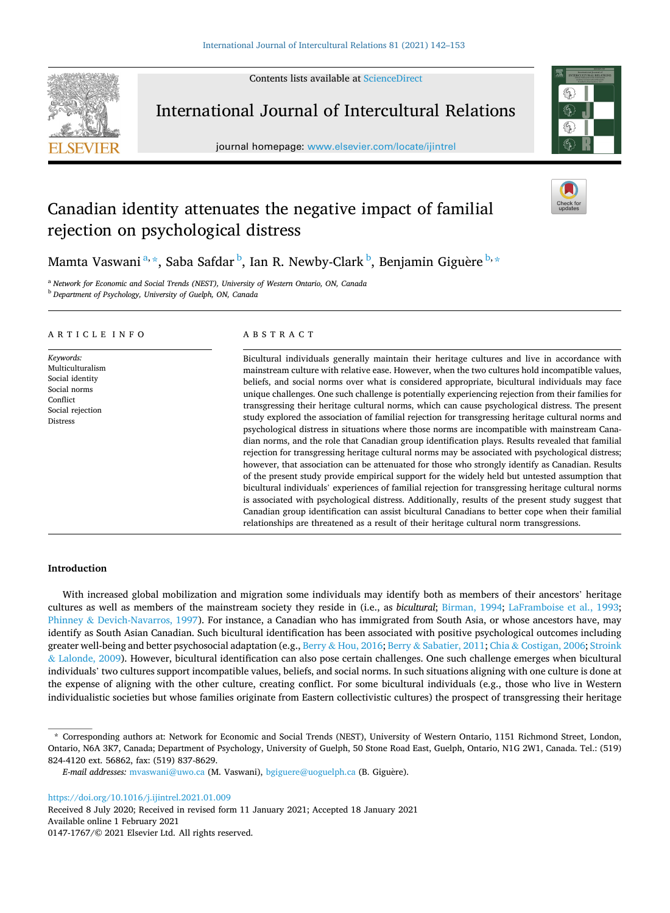Contents lists available at [ScienceDirect](www.sciencedirect.com/science/journal/01471767)



International Journal of Intercultural Relations

journal homepage: [www.elsevier.com/locate/ijintrel](https://www.elsevier.com/locate/ijintrel) 



# Canadian identity attenuates the negative impact of familial rejection on psychological distress

Mamta Vaswani $\mathrm{^{a,\ast},}$  Saba Safdar $\mathrm{^{b},}$  Ian R. Newby-Clark $\mathrm{^{b},}$  Benjamin Giguère $\mathrm{^{b,\ast}}$ 

<sup>a</sup> *Network for Economic and Social Trends (NEST), University of Western Ontario, ON, Canada* <sup>b</sup> *Department of Psychology, University of Guelph, ON, Canada* 

# ARTICLE INFO

*Keywords:*  Multiculturalism Social identity Social norms **Conflict** Social rejection Distress

# ABSTRACT

Bicultural individuals generally maintain their heritage cultures and live in accordance with mainstream culture with relative ease. However, when the two cultures hold incompatible values, beliefs, and social norms over what is considered appropriate, bicultural individuals may face unique challenges. One such challenge is potentially experiencing rejection from their families for transgressing their heritage cultural norms, which can cause psychological distress. The present study explored the association of familial rejection for transgressing heritage cultural norms and psychological distress in situations where those norms are incompatible with mainstream Canadian norms, and the role that Canadian group identification plays. Results revealed that familial rejection for transgressing heritage cultural norms may be associated with psychological distress; however, that association can be attenuated for those who strongly identify as Canadian. Results of the present study provide empirical support for the widely held but untested assumption that bicultural individuals' experiences of familial rejection for transgressing heritage cultural norms is associated with psychological distress. Additionally, results of the present study suggest that Canadian group identification can assist bicultural Canadians to better cope when their familial relationships are threatened as a result of their heritage cultural norm transgressions.

# **Introduction**

With increased global mobilization and migration some individuals may identify both as members of their ancestors' heritage cultures as well as members of the mainstream society they reside in (i.e., as *bicultural*; [Birman, 1994](#page-10-0); [LaFramboise et al., 1993](#page-10-0); Phinney & [Devich-Navarros, 1997\)](#page-11-0). For instance, a Canadian who has immigrated from South Asia, or whose ancestors have, may identify as South Asian Canadian. Such bicultural identification has been associated with positive psychological outcomes including greater well-being and better psychosocial adaptation (e.g., Berry & [Hou, 2016](#page-10-0); Berry & [Sabatier, 2011](#page-10-0); Chia & [Costigan, 2006;](#page-10-0) [Stroink](#page-11-0) & [Lalonde, 2009](#page-11-0)). However, bicultural identification can also pose certain challenges. One such challenge emerges when bicultural individuals' two cultures support incompatible values, beliefs, and social norms. In such situations aligning with one culture is done at the expense of aligning with the other culture, creating conflict. For some bicultural individuals (e.g., those who live in Western individualistic societies but whose families originate from Eastern collectivistic cultures) the prospect of transgressing their heritage

<https://doi.org/10.1016/j.ijintrel.2021.01.009>

Available online 1 February 2021 0147-1767/© 2021 Elsevier Ltd. All rights reserved. Received 8 July 2020; Received in revised form 11 January 2021; Accepted 18 January 2021

<sup>\*</sup> Corresponding authors at: Network for Economic and Social Trends (NEST), University of Western Ontario, 1151 Richmond Street, London, Ontario, N6A 3K7, Canada; Department of Psychology, University of Guelph, 50 Stone Road East, Guelph, Ontario, N1G 2W1, Canada. Tel.: (519) 824-4120 ext. 56862, fax: (519) 837-8629.

*E-mail addresses: mvaswani@uwo.ca* (M. Vaswani), [bgiguere@uoguelph.ca](mailto:bgiguere@uoguelph.ca) (B. Giguère).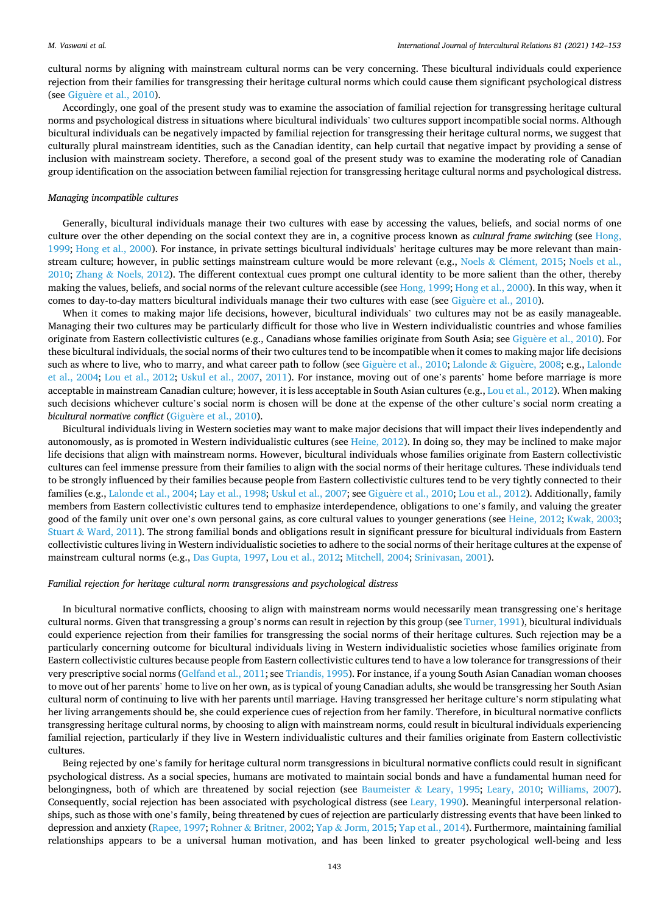cultural norms by aligning with mainstream cultural norms can be very concerning. These bicultural individuals could experience rejection from their families for transgressing their heritage cultural norms which could cause them significant psychological distress (see Giguère et al., 2010).

Accordingly, one goal of the present study was to examine the association of familial rejection for transgressing heritage cultural norms and psychological distress in situations where bicultural individuals' two cultures support incompatible social norms. Although bicultural individuals can be negatively impacted by familial rejection for transgressing their heritage cultural norms, we suggest that culturally plural mainstream identities, such as the Canadian identity, can help curtail that negative impact by providing a sense of inclusion with mainstream society. Therefore, a second goal of the present study was to examine the moderating role of Canadian group identification on the association between familial rejection for transgressing heritage cultural norms and psychological distress.

#### *Managing incompatible cultures*

Generally, bicultural individuals manage their two cultures with ease by accessing the values, beliefs, and social norms of one culture over the other depending on the social context they are in, a cognitive process known as *cultural frame switching* (see [Hong,](#page-10-0) [1999;](#page-10-0) [Hong et al., 2000](#page-10-0)). For instance, in private settings bicultural individuals' heritage cultures may be more relevant than main-stream culture; however, in public settings mainstream culture would be more relevant (e.g., Noels & Clément, 2015; [Noels et al.,](#page-11-0) [2010;](#page-11-0) Zhang & [Noels, 2012](#page-11-0)). The different contextual cues prompt one cultural identity to be more salient than the other, thereby making the values, beliefs, and social norms of the relevant culture accessible (see [Hong, 1999; Hong et al., 2000\)](#page-10-0). In this way, when it comes to day-to-day matters bicultural individuals manage their two cultures with ease (see Giguère et al., 2010).

When it comes to making major life decisions, however, bicultural individuals' two cultures may not be as easily manageable. Managing their two cultures may be particularly difficult for those who live in Western individualistic countries and whose families originate from Eastern collectivistic cultures (e.g., Canadians whose families originate from South Asia; see Giguère et al., 2010). For these bicultural individuals, the social norms of their two cultures tend to be incompatible when it comes to making major life decisions such as where to live, who to marry, and what career path to follow (see Giguère et al., 2010; [Lalonde](#page-10-0) & Giguère, 2008; e.g., Lalonde [et al., 2004](#page-10-0); [Lou et al., 2012](#page-11-0); [Uskul et al., 2007,](#page-11-0) [2011\)](#page-11-0). For instance, moving out of one's parents' home before marriage is more acceptable in mainstream Canadian culture; however, it is less acceptable in South Asian cultures (e.g., [Lou et al., 2012](#page-11-0)). When making such decisions whichever culture's social norm is chosen will be done at the expense of the other culture's social norm creating a *bicultural normative conflict* (Giguère et al., 2010).

Bicultural individuals living in Western societies may want to make major decisions that will impact their lives independently and autonomously, as is promoted in Western individualistic cultures (see [Heine, 2012](#page-10-0)). In doing so, they may be inclined to make major life decisions that align with mainstream norms. However, bicultural individuals whose families originate from Eastern collectivistic cultures can feel immense pressure from their families to align with the social norms of their heritage cultures. These individuals tend to be strongly influenced by their families because people from Eastern collectivistic cultures tend to be very tightly connected to their families (e.g., [Lalonde et al., 2004](#page-10-0); [Lay et al., 1998](#page-10-0); [Uskul et al., 2007](#page-11-0); see Giguère et al., 2010; [Lou et al., 2012\)](#page-11-0). Additionally, family members from Eastern collectivistic cultures tend to emphasize interdependence, obligations to one's family, and valuing the greater good of the family unit over one's own personal gains, as core cultural values to younger generations (see [Heine, 2012; Kwak, 2003](#page-10-0); Stuart & [Ward, 2011](#page-11-0)). The strong familial bonds and obligations result in significant pressure for bicultural individuals from Eastern collectivistic cultures living in Western individualistic societies to adhere to the social norms of their heritage cultures at the expense of mainstream cultural norms (e.g., [Das Gupta, 1997](#page-10-0), [Lou et al., 2012](#page-11-0); [Mitchell, 2004; Srinivasan, 2001\)](#page-11-0).

#### *Familial rejection for heritage cultural norm transgressions and psychological distress*

In bicultural normative conflicts, choosing to align with mainstream norms would necessarily mean transgressing one's heritage cultural norms. Given that transgressing a group's norms can result in rejection by this group (see [Turner, 1991](#page-11-0)), bicultural individuals could experience rejection from their families for transgressing the social norms of their heritage cultures. Such rejection may be a particularly concerning outcome for bicultural individuals living in Western individualistic societies whose families originate from Eastern collectivistic cultures because people from Eastern collectivistic cultures tend to have a low tolerance for transgressions of their very prescriptive social norms ([Gelfand et al., 2011;](#page-10-0) see [Triandis, 1995](#page-11-0)). For instance, if a young South Asian Canadian woman chooses to move out of her parents' home to live on her own, as is typical of young Canadian adults, she would be transgressing her South Asian cultural norm of continuing to live with her parents until marriage. Having transgressed her heritage culture's norm stipulating what her living arrangements should be, she could experience cues of rejection from her family. Therefore, in bicultural normative conflicts transgressing heritage cultural norms, by choosing to align with mainstream norms, could result in bicultural individuals experiencing familial rejection, particularly if they live in Western individualistic cultures and their families originate from Eastern collectivistic cultures.

Being rejected by one's family for heritage cultural norm transgressions in bicultural normative conflicts could result in significant psychological distress. As a social species, humans are motivated to maintain social bonds and have a fundamental human need for belongingness, both of which are threatened by social rejection (see Baumeister & [Leary, 1995](#page-10-0); [Leary, 2010](#page-10-0); [Williams, 2007](#page-11-0)). Consequently, social rejection has been associated with psychological distress (see [Leary, 1990\)](#page-10-0). Meaningful interpersonal relationships, such as those with one's family, being threatened by cues of rejection are particularly distressing events that have been linked to depression and anxiety ([Rapee, 1997](#page-11-0); Rohner & [Britner, 2002](#page-11-0); Yap & [Jorm, 2015](#page-11-0); [Yap et al., 2014](#page-11-0)). Furthermore, maintaining familial relationships appears to be a universal human motivation, and has been linked to greater psychological well-being and less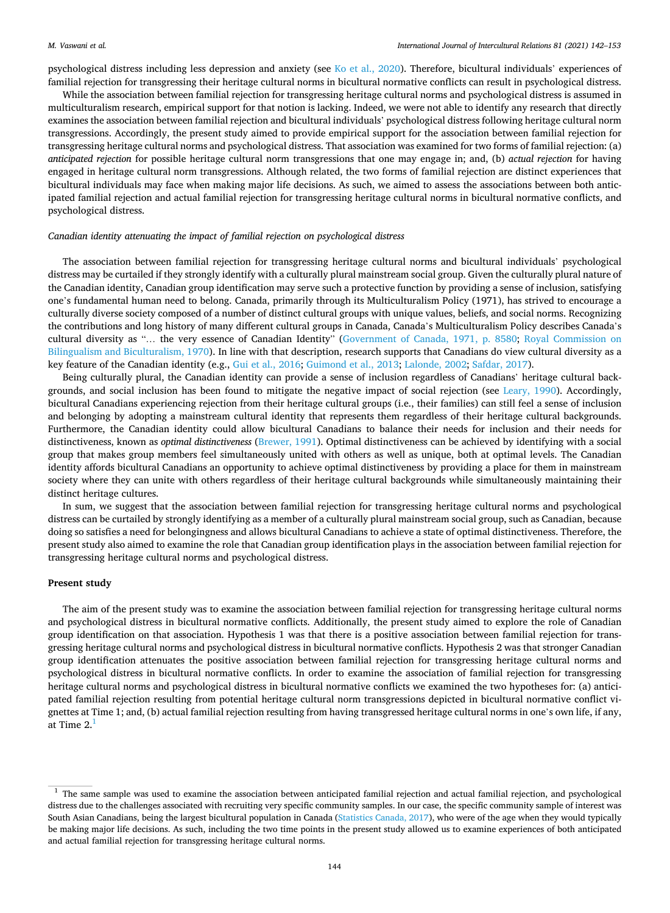psychological distress including less depression and anxiety (see [Ko et al., 2020](#page-10-0)). Therefore, bicultural individuals' experiences of familial rejection for transgressing their heritage cultural norms in bicultural normative conflicts can result in psychological distress.

While the association between familial rejection for transgressing heritage cultural norms and psychological distress is assumed in multiculturalism research, empirical support for that notion is lacking. Indeed, we were not able to identify any research that directly examines the association between familial rejection and bicultural individuals' psychological distress following heritage cultural norm transgressions. Accordingly, the present study aimed to provide empirical support for the association between familial rejection for transgressing heritage cultural norms and psychological distress. That association was examined for two forms of familial rejection: (a) *anticipated rejection* for possible heritage cultural norm transgressions that one may engage in; and, (b) *actual rejection* for having engaged in heritage cultural norm transgressions. Although related, the two forms of familial rejection are distinct experiences that bicultural individuals may face when making major life decisions. As such, we aimed to assess the associations between both anticipated familial rejection and actual familial rejection for transgressing heritage cultural norms in bicultural normative conflicts, and psychological distress.

## *Canadian identity attenuating the impact of familial rejection on psychological distress*

The association between familial rejection for transgressing heritage cultural norms and bicultural individuals' psychological distress may be curtailed if they strongly identify with a culturally plural mainstream social group. Given the culturally plural nature of the Canadian identity, Canadian group identification may serve such a protective function by providing a sense of inclusion, satisfying one's fundamental human need to belong. Canada, primarily through its Multiculturalism Policy (1971), has strived to encourage a culturally diverse society composed of a number of distinct cultural groups with unique values, beliefs, and social norms. Recognizing the contributions and long history of many different cultural groups in Canada, Canada's Multiculturalism Policy describes Canada's cultural diversity as "… the very essence of Canadian Identity" ([Government of Canada, 1971, p. 8580](#page-10-0); [Royal Commission on](#page-11-0) [Bilingualism and Biculturalism, 1970\)](#page-11-0). In line with that description, research supports that Canadians do view cultural diversity as a key feature of the Canadian identity (e.g., [Gui et al., 2016](#page-10-0); [Guimond et al., 2013](#page-10-0); [Lalonde, 2002](#page-10-0); [Safdar, 2017](#page-11-0)).

Being culturally plural, the Canadian identity can provide a sense of inclusion regardless of Canadians' heritage cultural backgrounds, and social inclusion has been found to mitigate the negative impact of social rejection (see [Leary, 1990](#page-10-0)). Accordingly, bicultural Canadians experiencing rejection from their heritage cultural groups (i.e., their families) can still feel a sense of inclusion and belonging by adopting a mainstream cultural identity that represents them regardless of their heritage cultural backgrounds. Furthermore, the Canadian identity could allow bicultural Canadians to balance their needs for inclusion and their needs for distinctiveness, known as *optimal distinctiveness* [\(Brewer, 1991\)](#page-10-0). Optimal distinctiveness can be achieved by identifying with a social group that makes group members feel simultaneously united with others as well as unique, both at optimal levels. The Canadian identity affords bicultural Canadians an opportunity to achieve optimal distinctiveness by providing a place for them in mainstream society where they can unite with others regardless of their heritage cultural backgrounds while simultaneously maintaining their distinct heritage cultures.

In sum, we suggest that the association between familial rejection for transgressing heritage cultural norms and psychological distress can be curtailed by strongly identifying as a member of a culturally plural mainstream social group, such as Canadian, because doing so satisfies a need for belongingness and allows bicultural Canadians to achieve a state of optimal distinctiveness. Therefore, the present study also aimed to examine the role that Canadian group identification plays in the association between familial rejection for transgressing heritage cultural norms and psychological distress.

## **Present study**

The aim of the present study was to examine the association between familial rejection for transgressing heritage cultural norms and psychological distress in bicultural normative conflicts. Additionally, the present study aimed to explore the role of Canadian group identification on that association. Hypothesis 1 was that there is a positive association between familial rejection for transgressing heritage cultural norms and psychological distress in bicultural normative conflicts. Hypothesis 2 was that stronger Canadian group identification attenuates the positive association between familial rejection for transgressing heritage cultural norms and psychological distress in bicultural normative conflicts. In order to examine the association of familial rejection for transgressing heritage cultural norms and psychological distress in bicultural normative conflicts we examined the two hypotheses for: (a) anticipated familial rejection resulting from potential heritage cultural norm transgressions depicted in bicultural normative conflict vignettes at Time 1; and, (b) actual familial rejection resulting from having transgressed heritage cultural norms in one's own life, if any, at Time  $2<sup>1</sup>$ 

<sup>&</sup>lt;sup>1</sup> The same sample was used to examine the association between anticipated familial rejection and actual familial rejection, and psychological distress due to the challenges associated with recruiting very specific community samples. In our case, the specific community sample of interest was South Asian Canadians, being the largest bicultural population in Canada ([Statistics Canada, 2017\)](#page-11-0), who were of the age when they would typically be making major life decisions. As such, including the two time points in the present study allowed us to examine experiences of both anticipated and actual familial rejection for transgressing heritage cultural norms.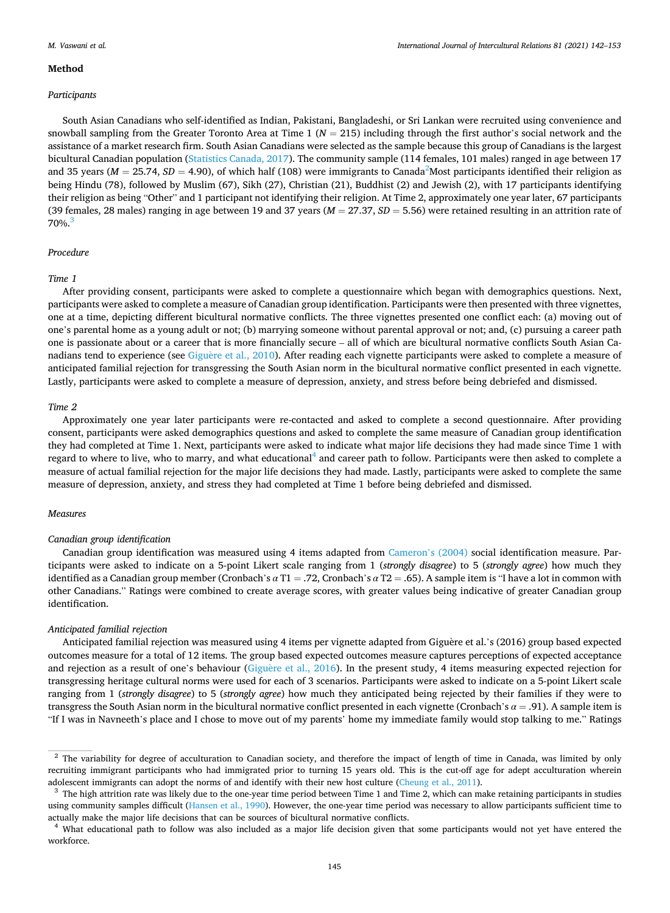#### *International Journal of Intercultural Relations 81 (2021) 142–153*

#### **Method**

#### *Participants*

South Asian Canadians who self-identified as Indian, Pakistani, Bangladeshi, or Sri Lankan were recruited using convenience and snowball sampling from the Greater Toronto Area at Time  $1 (N = 215)$  including through the first author's social network and the assistance of a market research firm. South Asian Canadians were selected as the sample because this group of Canadians is the largest bicultural Canadian population [\(Statistics Canada, 2017\)](#page-11-0). The community sample (114 females, 101 males) ranged in age between 17 and 35 years ( $M = 25.74$ ,  $SD = 4.90$ ), of which half (108) were immigrants to Canada<sup>2</sup>Most participants identified their religion as being Hindu (78), followed by Muslim (67), Sikh (27), Christian (21), Buddhist (2) and Jewish (2), with 17 participants identifying their religion as being "Other" and 1 participant not identifying their religion. At Time 2, approximately one year later, 67 participants (39 females, 28 males) ranging in age between 19 and 37 years (*M* = 27.37, *SD* = 5.56) were retained resulting in an attrition rate of  $70\%$ <sup>3</sup>

## *Procedure*

#### *Time 1*

After providing consent, participants were asked to complete a questionnaire which began with demographics questions. Next, participants were asked to complete a measure of Canadian group identification. Participants were then presented with three vignettes, one at a time, depicting different bicultural normative conflicts. The three vignettes presented one conflict each: (a) moving out of one's parental home as a young adult or not; (b) marrying someone without parental approval or not; and, (c) pursuing a career path one is passionate about or a career that is more financially secure – all of which are bicultural normative conflicts South Asian Canadians tend to experience (see Giguère et al., 2010). After reading each vignette participants were asked to complete a measure of anticipated familial rejection for transgressing the South Asian norm in the bicultural normative conflict presented in each vignette. Lastly, participants were asked to complete a measure of depression, anxiety, and stress before being debriefed and dismissed.

## *Time 2*

Approximately one year later participants were re-contacted and asked to complete a second questionnaire. After providing consent, participants were asked demographics questions and asked to complete the same measure of Canadian group identification they had completed at Time 1. Next, participants were asked to indicate what major life decisions they had made since Time 1 with regard to where to live, who to marry, and what educational<sup>4</sup> and career path to follow. Participants were then asked to complete a measure of actual familial rejection for the major life decisions they had made. Lastly, participants were asked to complete the same measure of depression, anxiety, and stress they had completed at Time 1 before being debriefed and dismissed.

#### *Measures*

#### *Canadian group identification*

Canadian group identification was measured using 4 items adapted from [Cameron](#page-10-0)'s (2004) social identification measure. Participants were asked to indicate on a 5-point Likert scale ranging from 1 (*strongly disagree*) to 5 (*strongly agree*) how much they identified as a Canadian group member (Cronbach's *α* T1 = .72, Cronbach's *α* T2 = .65). A sample item is "I have a lot in common with other Canadians." Ratings were combined to create average scores, with greater values being indicative of greater Canadian group identification.

#### *Anticipated familial rejection*

Anticipated familial rejection was measured using 4 items per vignette adapted from Giguère et al.'s (2016) group based expected outcomes measure for a total of 12 items. The group based expected outcomes measure captures perceptions of expected acceptance and rejection as a result of one's behaviour (Giguère et al., 2016). In the present study, 4 items measuring expected rejection for transgressing heritage cultural norms were used for each of 3 scenarios. Participants were asked to indicate on a 5-point Likert scale ranging from 1 (*strongly disagree*) to 5 (*strongly agree*) how much they anticipated being rejected by their families if they were to transgress the South Asian norm in the bicultural normative conflict presented in each vignette (Cronbach's *α* = .91). A sample item is "If I was in Navneeth's place and I chose to move out of my parents' home my immediate family would stop talking to me." Ratings

<sup>&</sup>lt;sup>2</sup> The variability for degree of acculturation to Canadian society, and therefore the impact of length of time in Canada, was limited by only recruiting immigrant participants who had immigrated prior to turning 15 years old. This is the cut-off age for adept acculturation wherein adolescent immigrants can adopt the norms of and identify with their new host culture ([Cheung et al., 2011\)](#page-10-0).<br><sup>3</sup> The high attrition rate was likely due to the one-year time period between Time 1 and Time 2, which can make

using community samples difficult ([Hansen et al., 1990](#page-10-0)). However, the one-year time period was necessary to allow participants sufficient time to actually make the major life decisions that can be sources of bicultural normative conflicts.<br><sup>4</sup> What educational path to follow was also included as a major life decision given that some participants would not yet have e

workforce.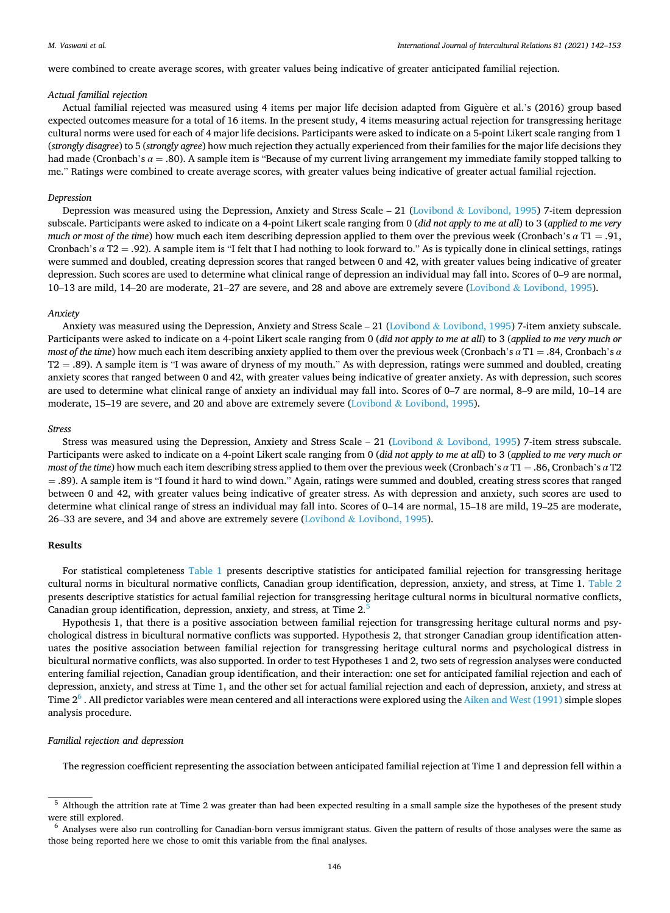#### *M. Vaswani et al.*

were combined to create average scores, with greater values being indicative of greater anticipated familial rejection.

## *Actual familial rejection*

Actual familial rejected was measured using 4 items per major life decision adapted from Giguère et al.'s (2016) group based expected outcomes measure for a total of 16 items. In the present study, 4 items measuring actual rejection for transgressing heritage cultural norms were used for each of 4 major life decisions. Participants were asked to indicate on a 5-point Likert scale ranging from 1 (*strongly disagree*) to 5 (*strongly agree*) how much rejection they actually experienced from their families for the major life decisions they had made (Cronbach's *α* = .80). A sample item is "Because of my current living arrangement my immediate family stopped talking to me." Ratings were combined to create average scores, with greater values being indicative of greater actual familial rejection.

### *Depression*

Depression was measured using the Depression, Anxiety and Stress Scale – 21 (Lovibond & [Lovibond, 1995](#page-11-0)) 7-item depression subscale. Participants were asked to indicate on a 4-point Likert scale ranging from 0 (*did not apply to me at all*) to 3 (*applied to me very much or most of the time*) how much each item describing depression applied to them over the previous week (Cronbach's *α* T1 = .91, Cronbach's *α* T2 = .92). A sample item is "I felt that I had nothing to look forward to." As is typically done in clinical settings, ratings were summed and doubled, creating depression scores that ranged between 0 and 42, with greater values being indicative of greater depression. Such scores are used to determine what clinical range of depression an individual may fall into. Scores of 0–9 are normal, 10–13 are mild, 14–20 are moderate, 21–27 are severe, and 28 and above are extremely severe (Lovibond & [Lovibond, 1995](#page-11-0)).

### *Anxiety*

Anxiety was measured using the Depression, Anxiety and Stress Scale - 21 (Lovibond & [Lovibond, 1995\)](#page-11-0) 7-item anxiety subscale. Participants were asked to indicate on a 4-point Likert scale ranging from 0 (*did not apply to me at all*) to 3 (*applied to me very much or most of the time*) how much each item describing anxiety applied to them over the previous week (Cronbach's *α* T1 = .84, Cronbach's *α*  T2 = .89). A sample item is "I was aware of dryness of my mouth." As with depression, ratings were summed and doubled, creating anxiety scores that ranged between 0 and 42, with greater values being indicative of greater anxiety. As with depression, such scores are used to determine what clinical range of anxiety an individual may fall into. Scores of 0–7 are normal, 8–9 are mild, 10–14 are moderate, 15–19 are severe, and 20 and above are extremely severe (Lovibond  $&$  [Lovibond, 1995](#page-11-0)).

#### *Stress*

Stress was measured using the Depression, Anxiety and Stress Scale – 21 (Lovibond & [Lovibond, 1995\)](#page-11-0) 7-item stress subscale. Participants were asked to indicate on a 4-point Likert scale ranging from 0 (*did not apply to me at all*) to 3 (*applied to me very much or most of the time*) how much each item describing stress applied to them over the previous week (Cronbach's *α* T1 = .86, Cronbach's *α* T2 = .89). A sample item is "I found it hard to wind down." Again, ratings were summed and doubled, creating stress scores that ranged between 0 and 42, with greater values being indicative of greater stress. As with depression and anxiety, such scores are used to determine what clinical range of stress an individual may fall into. Scores of 0–14 are normal, 15–18 are mild, 19–25 are moderate, 26–33 are severe, and 34 and above are extremely severe (Lovibond & [Lovibond, 1995](#page-11-0)).

# **Results**

For statistical completeness [Table 1](#page-5-0) presents descriptive statistics for anticipated familial rejection for transgressing heritage cultural norms in bicultural normative conflicts, Canadian group identification, depression, anxiety, and stress, at Time 1. [Table 2](#page-5-0) presents descriptive statistics for actual familial rejection for transgressing heritage cultural norms in bicultural normative conflicts, Canadian group identification, depression, anxiety, and stress, at Time 2.<sup>5</sup>

Hypothesis 1, that there is a positive association between familial rejection for transgressing heritage cultural norms and psychological distress in bicultural normative conflicts was supported. Hypothesis 2, that stronger Canadian group identification attenuates the positive association between familial rejection for transgressing heritage cultural norms and psychological distress in bicultural normative conflicts, was also supported. In order to test Hypotheses 1 and 2, two sets of regression analyses were conducted entering familial rejection, Canadian group identification, and their interaction: one set for anticipated familial rejection and each of depression, anxiety, and stress at Time 1, and the other set for actual familial rejection and each of depression, anxiety, and stress at Time  $2<sup>6</sup>$ . All predictor variables were mean centered and all interactions were explored using the [Aiken and West \(1991\)](#page-10-0) simple slopes analysis procedure.

### *Familial rejection and depression*

The regression coefficient representing the association between anticipated familial rejection at Time 1 and depression fell within a

<sup>5</sup> Although the attrition rate at Time 2 was greater than had been expected resulting in a small sample size the hypotheses of the present study were still explored.<br><sup>6</sup> Analyses were also run controlling for Canadian-born versus immigrant status. Given the pattern of results of those analyses were the same as

those being reported here we chose to omit this variable from the final analyses.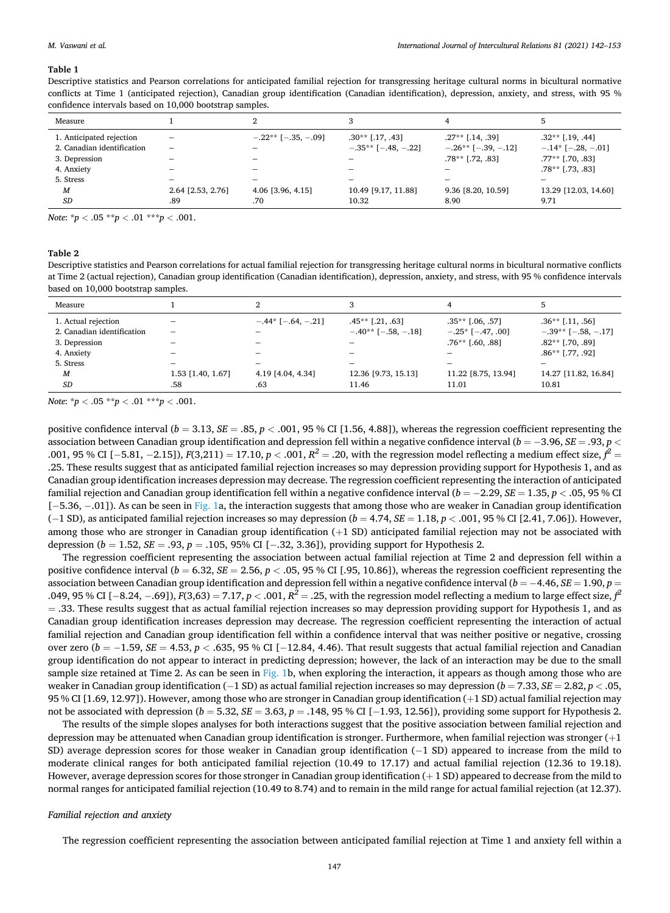#### <span id="page-5-0"></span>*M. Vaswani et al.*

#### **Table 1**

Descriptive statistics and Pearson correlations for anticipated familial rejection for transgressing heritage cultural norms in bicultural normative conflicts at Time 1 (anticipated rejection), Canadian group identification (Canadian identification), depression, anxiety, and stress, with 95 % confidence intervals based on 10,000 bootstrap samples.

| Measure                    |                                 |                           |                                 |                           |                          |
|----------------------------|---------------------------------|---------------------------|---------------------------------|---------------------------|--------------------------|
| 1. Anticipated rejection   | $\qquad \qquad \  \  \, -$      | $-.22**$ [ $-.35, -.09$ ] | $.30**$ [.17, .43]              | $.27**$ [.14, .39]        | $.32**$ [.19, .44]       |
| 2. Canadian identification | $\hspace{0.1mm}-\hspace{0.1mm}$ |                           | $-.35**$ [ $-.48, -.22$ ]       | $-.26**$ [ $-.39, -.12$ ] | $-.14*$ [ $-.28, -.01$ ] |
| 3. Depression              |                                 |                           | $\hspace{0.1mm}-\hspace{0.1mm}$ | $.78**$ [.72, .83]        | $.77**$ [.70, .83]       |
| 4. Anxiety                 |                                 |                           |                                 |                           | $.78**$ [.73, .83]       |
| 5. Stress                  |                                 |                           | $\overline{\phantom{0}}$        |                           | $\overline{\phantom{0}}$ |
| M                          | 2.64 [2.53, 2.76]               | 4.06 [3.96, 4.15]         | 10.49 [9.17, 11.88]             | 9.36 [8.20, 10.59]        | 13.29 [12.03, 14.60]     |
| <b>SD</b>                  | .89                             | .70                       | 10.32                           | 8.90                      | 9.71                     |

*Note*: \**p <* .05 \*\**p <* .01 \*\*\**p <* .001.

# **Table 2**

Descriptive statistics and Pearson correlations for actual familial rejection for transgressing heritage cultural norms in bicultural normative conflicts at Time 2 (actual rejection), Canadian group identification (Canadian identification), depression, anxiety, and stress, with 95 % confidence intervals based on 10,000 bootstrap samples.

| Measure                                           |                   |                     |                                                 |                                                  |                                                 |
|---------------------------------------------------|-------------------|---------------------|-------------------------------------------------|--------------------------------------------------|-------------------------------------------------|
| 1. Actual rejection<br>2. Canadian identification |                   | $-.44*[-.64, -.21]$ | $.45**$ [.21, .63]<br>$-.40**$ [ $-.58, -.18$ ] | $.35**$ $[.06, .57]$<br>$-.25$ * [ $-.47, .00$ ] | $.36**$ [.11, .56]<br>$-.39**$ [ $-.58, -.17$ ] |
| 3. Depression                                     |                   |                     |                                                 | $.76**$ [.60, .88]                               | $.82**$ [.70, .89]                              |
| 4. Anxiety                                        |                   |                     |                                                 | -                                                | $.86**$ [.77, .92]                              |
| 5. Stress                                         | -                 | -                   |                                                 | $\qquad \qquad \  \  \, -$                       |                                                 |
| M                                                 | 1.53 [1.40, 1.67] | 4.19 [4.04, 4.34]   | 12.36 [9.73, 15.13]                             | 11.22 [8.75, 13.94]                              | 14.27 [11.82, 16.84]                            |
| <b>SD</b>                                         | .58               | .63                 | 11.46                                           | 11.01                                            | 10.81                                           |

*Note*:  ${}^{\star}p$  < .05  ${}^{\star}{}^{\star}p$  < .01  ${}^{\star}{}^{\star}{}^{\star}p$  < .001.

positive confidence interval ( $b = 3.13$ ,  $SE = .85$ ,  $p < .001$ , 95 % CI [1.56, 4.88]), whereas the regression coefficient representing the association between Canadian group identification and depression fell within a negative confidence interval (*b* = − 3.96, *SE* = .93, *p <* .001, 95 % CI [−5.81, −2.15]), *F*(3,211) = 17.10, *p* < .001,  $R^2$  = .20, with the regression model reflecting a medium effect size,  $f^2$  = .25. These results suggest that as anticipated familial rejection increases so may depression providing support for Hypothesis 1, and as Canadian group identification increases depression may decrease. The regression coefficient representing the interaction of anticipated familial rejection and Canadian group identification fell within a negative confidence interval (*b* = − 2.29, *SE* = 1.35, *p <* .05, 95 % CI [− 5.36, − .01]). As can be seen in [Fig. 1a](#page-6-0), the interaction suggests that among those who are weaker in Canadian group identification (− 1 SD), as anticipated familial rejection increases so may depression (*b* = 4.74, *SE* = 1.18, *p <* .001, 95 % CI [2.41, 7.06]). However, among those who are stronger in Canadian group identification (+1 SD) anticipated familial rejection may not be associated with depression (*b* = 1.52, *SE* = .93, *p* = .105, 95% CI [− .32, 3.36]), providing support for Hypothesis 2.

The regression coefficient representing the association between actual familial rejection at Time 2 and depression fell within a positive confidence interval (*b* = 6.32, *SE* = 2.56, *p <* .05, 95 % CI [.95, 10.86]), whereas the regression coefficient representing the association between Canadian group identification and depression fell within a negative confidence interval (*b* = − 4.46, *SE* = 1.90, *p* = .049, 95 % CI [− 8.24, − .69]), *F*(3,63) = 7.17, *p <* .001, *R2* = .25, with the regression model reflecting a medium to large effect size, *f 2*  = .33. These results suggest that as actual familial rejection increases so may depression providing support for Hypothesis 1, and as Canadian group identification increases depression may decrease. The regression coefficient representing the interaction of actual familial rejection and Canadian group identification fell within a confidence interval that was neither positive or negative, crossing over zero (*b* = − 1.59, *SE* = 4.53, *p <* .635, 95 % CI [− 12.84, 4.46). That result suggests that actual familial rejection and Canadian group identification do not appear to interact in predicting depression; however, the lack of an interaction may be due to the small sample size retained at Time 2. As can be seen in [Fig. 1b](#page-6-0), when exploring the interaction, it appears as though among those who are weaker in Canadian group identification (− 1 SD) as actual familial rejection increases so may depression (*b* = 7.33, *SE* = 2.82, *p <* .05, 95 % CI [1.69, 12.97]). However, among those who are stronger in Canadian group identification (+1 SD) actual familial rejection may not be associated with depression (*b* = 5.32, *SE* = 3.63, *p* = .148, 95 % CI [− 1.93, 12.56]), providing some support for Hypothesis 2.

The results of the simple slopes analyses for both interactions suggest that the positive association between familial rejection and depression may be attenuated when Canadian group identification is stronger. Furthermore, when familial rejection was stronger (+1 SD) average depression scores for those weaker in Canadian group identification (−1 SD) appeared to increase from the mild to moderate clinical ranges for both anticipated familial rejection (10.49 to 17.17) and actual familial rejection (12.36 to 19.18). However, average depression scores for those stronger in Canadian group identification  $(+ 1 S_D)$  appeared to decrease from the mild to normal ranges for anticipated familial rejection (10.49 to 8.74) and to remain in the mild range for actual familial rejection (at 12.37).

#### *Familial rejection and anxiety*

The regression coefficient representing the association between anticipated familial rejection at Time 1 and anxiety fell within a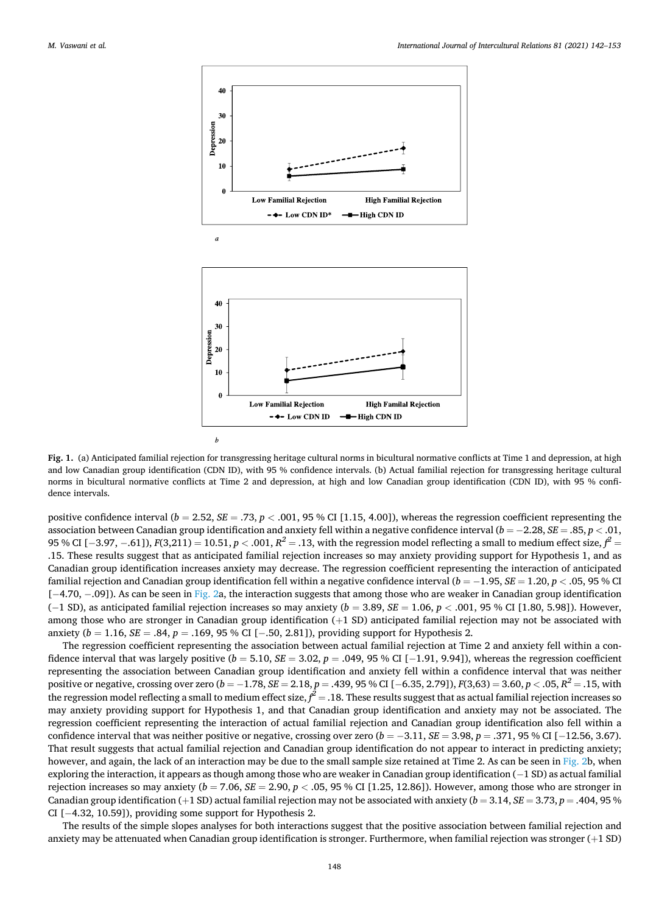<span id="page-6-0"></span>

**Fig. 1.** (a) Anticipated familial rejection for transgressing heritage cultural norms in bicultural normative conflicts at Time 1 and depression, at high and low Canadian group identification (CDN ID), with 95 % confidence intervals. (b) Actual familial rejection for transgressing heritage cultural norms in bicultural normative conflicts at Time 2 and depression, at high and low Canadian group identification (CDN ID), with 95 % confidence intervals.

positive confidence interval  $(b = 2.52, SE = .73, p < .001, 95\%$  CI [1.15, 4.00]), whereas the regression coefficient representing the association between Canadian group identification and anxiety fell within a negative confidence interval (*b* = − 2.28, *SE* = .85, *p <* .01, 95 % CI [−3.97, −.61]),  $F(3,211) = 10.51$ ,  $p < .001$ ,  $R^2 = .13$ , with the regression model reflecting a small to medium effect size,  $f^2 = .13$ .15. These results suggest that as anticipated familial rejection increases so may anxiety providing support for Hypothesis 1, and as Canadian group identification increases anxiety may decrease. The regression coefficient representing the interaction of anticipated familial rejection and Canadian group identification fell within a negative confidence interval (*b* = − 1.95, *SE* = 1.20, *p <* .05, 95 % CI [-4.70, -.09]). As can be seen in [Fig. 2a](#page-7-0), the interaction suggests that among those who are weaker in Canadian group identification (− 1 SD), as anticipated familial rejection increases so may anxiety (*b* = 3.89, *SE* = 1.06, *p <* .001, 95 % CI [1.80, 5.98]). However, among those who are stronger in Canadian group identification (+1 SD) anticipated familial rejection may not be associated with anxiety (*b* = 1.16, *SE* = .84, *p* = .169, 95 % CI [− .50, 2.81]), providing support for Hypothesis 2.

The regression coefficient representing the association between actual familial rejection at Time 2 and anxiety fell within a confidence interval that was largely positive  $(b = 5.10, SE = 3.02, p = .049, 95\%$  CI [ $-1.91, 9.94$ ]), whereas the regression coefficient representing the association between Canadian group identification and anxiety fell within a confidence interval that was neither positive or negative, crossing over zero (*b* = − 1.78, *SE* = 2.18, *p* = .439, 95 % CI [− 6.35, 2.79]), *F*(3,63) = 3.60, *p <* .05, *R2* = .15, with the regression model reflecting a small to medium effect size,  $f^2 = .18$ . These results suggest that as actual familial rejection increases so may anxiety providing support for Hypothesis 1, and that Canadian group identification and anxiety may not be associated. The regression coefficient representing the interaction of actual familial rejection and Canadian group identification also fell within a confidence interval that was neither positive or negative, crossing over zero (*b* = − 3.11, *SE* = 3.98, *p* = .371, 95 % CI [− 12.56, 3.67). That result suggests that actual familial rejection and Canadian group identification do not appear to interact in predicting anxiety; however, and again, the lack of an interaction may be due to the small sample size retained at Time 2. As can be seen in [Fig. 2](#page-7-0)b, when exploring the interaction, it appears as though among those who are weaker in Canadian group identification (−1 SD) as actual familial rejection increases so may anxiety  $(b = 7.06, SE = 2.90, p < .05, 95, \%$  CI [1.25, 12.86]). However, among those who are stronger in Canadian group identification  $(+1 S$ D) actual familial rejection may not be associated with anxiety  $(b = 3.14, SE = 3.73, p = .404, 95\%$ CI [− 4.32, 10.59]), providing some support for Hypothesis 2.

The results of the simple slopes analyses for both interactions suggest that the positive association between familial rejection and anxiety may be attenuated when Canadian group identification is stronger. Furthermore, when familial rejection was stronger  $(+1 S D)$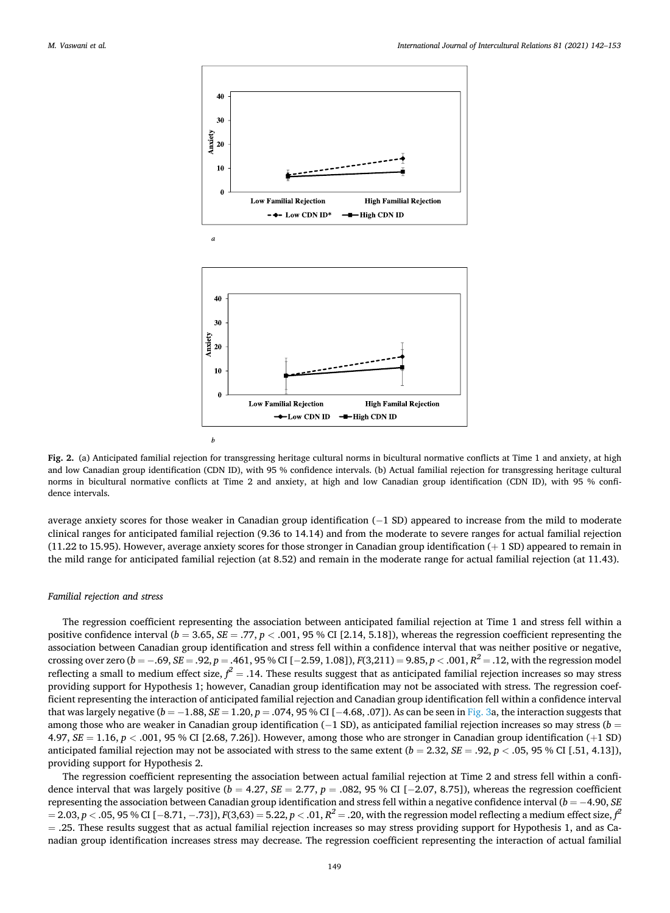<span id="page-7-0"></span>

**Fig. 2.** (a) Anticipated familial rejection for transgressing heritage cultural norms in bicultural normative conflicts at Time 1 and anxiety, at high and low Canadian group identification (CDN ID), with 95 % confidence intervals. (b) Actual familial rejection for transgressing heritage cultural norms in bicultural normative conflicts at Time 2 and anxiety, at high and low Canadian group identification (CDN ID), with 95 % confidence intervals.

average anxiety scores for those weaker in Canadian group identification (−1 SD) appeared to increase from the mild to moderate clinical ranges for anticipated familial rejection (9.36 to 14.14) and from the moderate to severe ranges for actual familial rejection  $(11.22$  to 15.95). However, average anxiety scores for those stronger in Canadian group identification  $(+ 1 S$ D) appeared to remain in the mild range for anticipated familial rejection (at 8.52) and remain in the moderate range for actual familial rejection (at 11.43).

#### *Familial rejection and stress*

The regression coefficient representing the association between anticipated familial rejection at Time 1 and stress fell within a positive confidence interval ( $b = 3.65$ ,  $SE = .77$ ,  $p < .001$ , 95 % CI [2.14, 5.18]), whereas the regression coefficient representing the association between Canadian group identification and stress fell within a confidence interval that was neither positive or negative, crossing over zero (*b* = − .69, *SE* = .92, *p* = .461, 95 % CI [− 2.59, 1.08]), *F*(3,211) = 9.85, *p <* .001, *R2* = .12, with the regression model reflecting a small to medium effect size,  $f^2 = .14$ . These results suggest that as anticipated familial rejection increases so may stress providing support for Hypothesis 1; however, Canadian group identification may not be associated with stress. The regression coefficient representing the interaction of anticipated familial rejection and Canadian group identification fell within a confidence interval that was largely negative (*b* = − 1.88, *SE* = 1.20, *p* = .074, 95 % CI [− 4.68, .07]). As can be seen in [Fig. 3](#page-8-0)a, the interaction suggests that among those who are weaker in Canadian group identification (− 1 SD), as anticipated familial rejection increases so may stress (*b* = 4.97, *SE* = 1.16, *p <* .001, 95 % CI [2.68, 7.26]). However, among those who are stronger in Canadian group identification (+1 SD) anticipated familial rejection may not be associated with stress to the same extent  $(b = 2.32, SE = .92, p < .05, 95 \% \text{ CI } [.51, 4.13]),$ providing support for Hypothesis 2.

The regression coefficient representing the association between actual familial rejection at Time 2 and stress fell within a confidence interval that was largely positive  $(b = 4.27, SE = 2.77, p = .082, 95\%$  CI [−2.07, 8.75]), whereas the regression coefficient representing the association between Canadian group identification and stress fell within a negative confidence interval (*b* = − 4.90, *SE*   $p = 2.03, p < .05, 95$  % CI [−8.71, −.73]),  $F(3,63) = 5.22, p < .01, R^2 = .20$ , with the regression model reflecting a medium effect size,  $f^2$  $=$  .25. These results suggest that as actual familial rejection increases so may stress providing support for Hypothesis 1, and as Canadian group identification increases stress may decrease. The regression coefficient representing the interaction of actual familial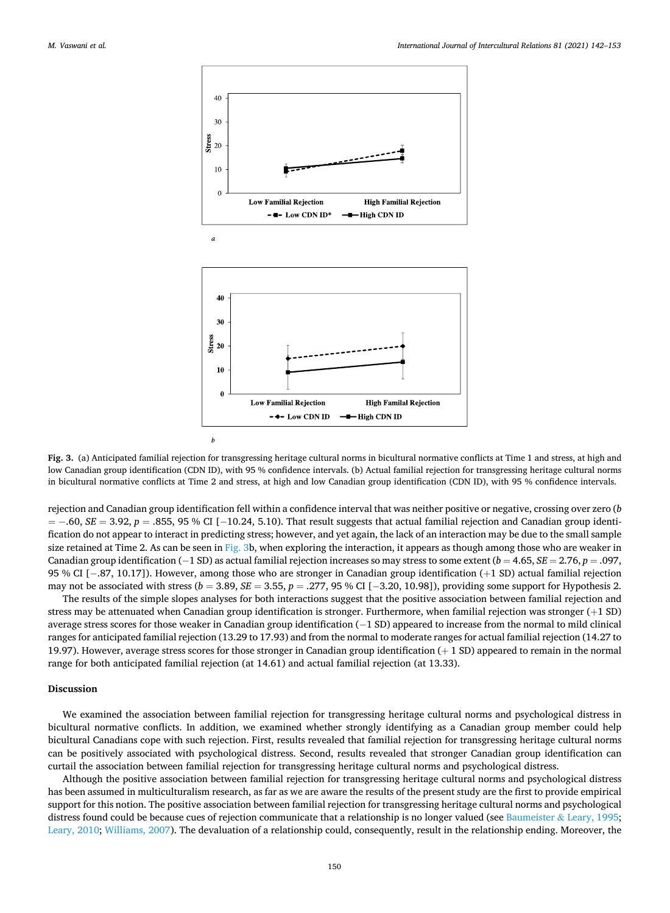<span id="page-8-0"></span>

**Fig. 3.** (a) Anticipated familial rejection for transgressing heritage cultural norms in bicultural normative conflicts at Time 1 and stress, at high and low Canadian group identification (CDN ID), with 95 % confidence intervals. (b) Actual familial rejection for transgressing heritage cultural norms in bicultural normative conflicts at Time 2 and stress, at high and low Canadian group identification (CDN ID), with 95 % confidence intervals.

rejection and Canadian group identification fell within a confidence interval that was neither positive or negative, crossing over zero (*b*  = − .60, *SE* = 3.92, *p* = .855, 95 % CI [− 10.24, 5.10). That result suggests that actual familial rejection and Canadian group identification do not appear to interact in predicting stress; however, and yet again, the lack of an interaction may be due to the small sample size retained at Time 2. As can be seen in Fig. 3b, when exploring the interaction, it appears as though among those who are weaker in Canadian group identification (− 1 SD) as actual familial rejection increases so may stress to some extent (*b* = 4.65, *SE* = 2.76, *p* = .097, 95 % CI [− .87, 10.17]). However, among those who are stronger in Canadian group identification (+1 SD) actual familial rejection may not be associated with stress (*b* = 3.89, *SE* = 3.55, *p* = .277, 95 % CI [−3.20, 10.98]), providing some support for Hypothesis 2.

The results of the simple slopes analyses for both interactions suggest that the positive association between familial rejection and stress may be attenuated when Canadian group identification is stronger. Furthermore, when familial rejection was stronger (+1 SD) average stress scores for those weaker in Canadian group identification (−1 SD) appeared to increase from the normal to mild clinical ranges for anticipated familial rejection (13.29 to 17.93) and from the normal to moderate ranges for actual familial rejection (14.27 to 19.97). However, average stress scores for those stronger in Canadian group identification (+ 1 SD) appeared to remain in the normal range for both anticipated familial rejection (at 14.61) and actual familial rejection (at 13.33).

# **Discussion**

We examined the association between familial rejection for transgressing heritage cultural norms and psychological distress in bicultural normative conflicts. In addition, we examined whether strongly identifying as a Canadian group member could help bicultural Canadians cope with such rejection. First, results revealed that familial rejection for transgressing heritage cultural norms can be positively associated with psychological distress. Second, results revealed that stronger Canadian group identification can curtail the association between familial rejection for transgressing heritage cultural norms and psychological distress.

Although the positive association between familial rejection for transgressing heritage cultural norms and psychological distress has been assumed in multiculturalism research, as far as we are aware the results of the present study are the first to provide empirical support for this notion. The positive association between familial rejection for transgressing heritage cultural norms and psychological distress found could be because cues of rejection communicate that a relationship is no longer valued (see [Baumeister](#page-10-0)  $\&$  Leary, 1995; [Leary, 2010;](#page-10-0) [Williams, 2007\)](#page-11-0). The devaluation of a relationship could, consequently, result in the relationship ending. Moreover, the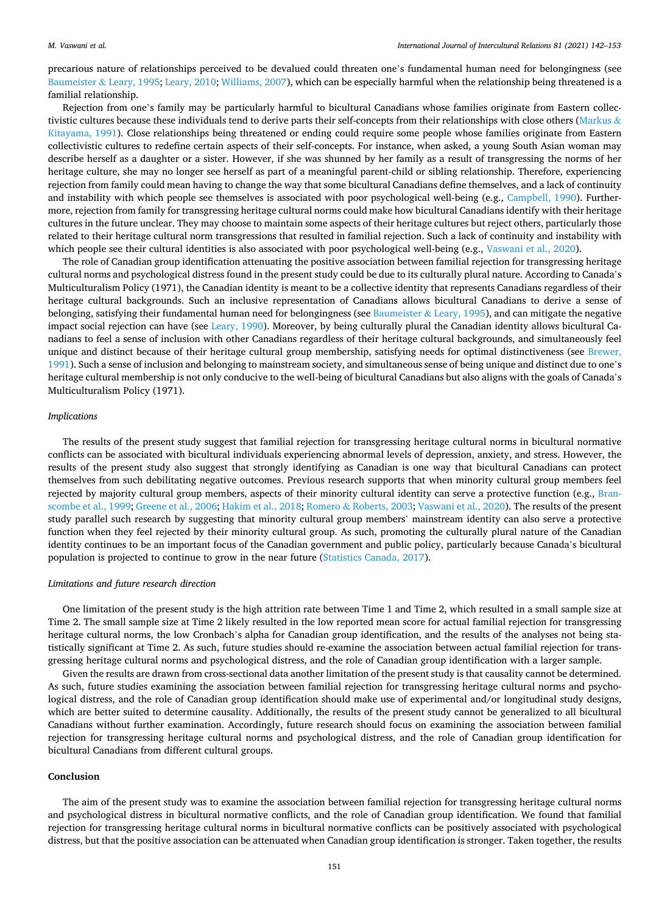precarious nature of relationships perceived to be devalued could threaten one's fundamental human need for belongingness (see [Baumeister](#page-10-0) & Leary, 1995; [Leary, 2010;](#page-10-0) [Williams, 2007\)](#page-11-0), which can be especially harmful when the relationship being threatened is a familial relationship.

Rejection from one's family may be particularly harmful to bicultural Canadians whose families originate from Eastern collec-tivistic cultures because these individuals tend to derive parts their self-concepts from their relationships with close others ([Markus](#page-11-0)  $\&$ [Kitayama, 1991](#page-11-0)). Close relationships being threatened or ending could require some people whose families originate from Eastern collectivistic cultures to redefine certain aspects of their self-concepts. For instance, when asked, a young South Asian woman may describe herself as a daughter or a sister. However, if she was shunned by her family as a result of transgressing the norms of her heritage culture, she may no longer see herself as part of a meaningful parent-child or sibling relationship. Therefore, experiencing rejection from family could mean having to change the way that some bicultural Canadians define themselves, and a lack of continuity and instability with which people see themselves is associated with poor psychological well-being (e.g., [Campbell, 1990\)](#page-10-0). Furthermore, rejection from family for transgressing heritage cultural norms could make how bicultural Canadians identify with their heritage cultures in the future unclear. They may choose to maintain some aspects of their heritage cultures but reject others, particularly those related to their heritage cultural norm transgressions that resulted in familial rejection. Such a lack of continuity and instability with which people see their cultural identities is also associated with poor psychological well-being (e.g., [Vaswani et al., 2020\)](#page-11-0).

The role of Canadian group identification attenuating the positive association between familial rejection for transgressing heritage cultural norms and psychological distress found in the present study could be due to its culturally plural nature. According to Canada's Multiculturalism Policy (1971), the Canadian identity is meant to be a collective identity that represents Canadians regardless of their heritage cultural backgrounds. Such an inclusive representation of Canadians allows bicultural Canadians to derive a sense of belonging, satisfying their fundamental human need for belongingness (see [Baumeister](#page-10-0) & Leary, 1995), and can mitigate the negative impact social rejection can have (see [Leary, 1990\)](#page-10-0). Moreover, by being culturally plural the Canadian identity allows bicultural Canadians to feel a sense of inclusion with other Canadians regardless of their heritage cultural backgrounds, and simultaneously feel unique and distinct because of their heritage cultural group membership, satisfying needs for optimal distinctiveness (see [Brewer,](#page-10-0) [1991\)](#page-10-0). Such a sense of inclusion and belonging to mainstream society, and simultaneous sense of being unique and distinct due to one's heritage cultural membership is not only conducive to the well-being of bicultural Canadians but also aligns with the goals of Canada's Multiculturalism Policy (1971).

#### *Implications*

The results of the present study suggest that familial rejection for transgressing heritage cultural norms in bicultural normative conflicts can be associated with bicultural individuals experiencing abnormal levels of depression, anxiety, and stress. However, the results of the present study also suggest that strongly identifying as Canadian is one way that bicultural Canadians can protect themselves from such debilitating negative outcomes. Previous research supports that when minority cultural group members feel rejected by majority cultural group members, aspects of their minority cultural identity can serve a protective function (e.g., [Bran](#page-10-0)[scombe et al., 1999](#page-10-0); [Greene et al., 2006](#page-10-0); [Hakim et al., 2018](#page-10-0); Romero & [Roberts, 2003; Vaswani et al., 2020\)](#page-11-0). The results of the present study parallel such research by suggesting that minority cultural group members' mainstream identity can also serve a protective function when they feel rejected by their minority cultural group. As such, promoting the culturally plural nature of the Canadian identity continues to be an important focus of the Canadian government and public policy, particularly because Canada's bicultural population is projected to continue to grow in the near future ([Statistics Canada, 2017](#page-11-0)).

#### *Limitations and future research direction*

One limitation of the present study is the high attrition rate between Time 1 and Time 2, which resulted in a small sample size at Time 2. The small sample size at Time 2 likely resulted in the low reported mean score for actual familial rejection for transgressing heritage cultural norms, the low Cronbach's alpha for Canadian group identification, and the results of the analyses not being statistically significant at Time 2. As such, future studies should re-examine the association between actual familial rejection for transgressing heritage cultural norms and psychological distress, and the role of Canadian group identification with a larger sample.

Given the results are drawn from cross-sectional data another limitation of the present study is that causality cannot be determined. As such, future studies examining the association between familial rejection for transgressing heritage cultural norms and psychological distress, and the role of Canadian group identification should make use of experimental and/or longitudinal study designs, which are better suited to determine causality. Additionally, the results of the present study cannot be generalized to all bicultural Canadians without further examination. Accordingly, future research should focus on examining the association between familial rejection for transgressing heritage cultural norms and psychological distress, and the role of Canadian group identification for bicultural Canadians from different cultural groups.

#### **Conclusion**

The aim of the present study was to examine the association between familial rejection for transgressing heritage cultural norms and psychological distress in bicultural normative conflicts, and the role of Canadian group identification. We found that familial rejection for transgressing heritage cultural norms in bicultural normative conflicts can be positively associated with psychological distress, but that the positive association can be attenuated when Canadian group identification is stronger. Taken together, the results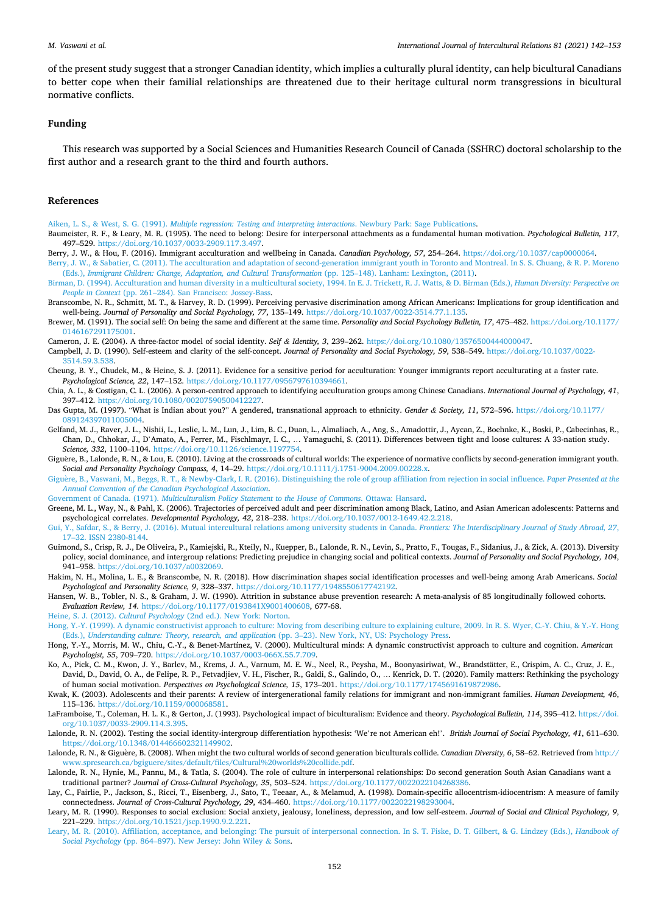<span id="page-10-0"></span>of the present study suggest that a stronger Canadian identity, which implies a culturally plural identity, can help bicultural Canadians to better cope when their familial relationships are threatened due to their heritage cultural norm transgressions in bicultural normative conflicts.

#### **Funding**

This research was supported by a Social Sciences and Humanities Research Council of Canada (SSHRC) doctoral scholarship to the first author and a research grant to the third and fourth authors.

# **References**

Aiken, L. S., & West, S. G. (1991). *[Multiple regression: Testing and interpreting interactions](http://refhub.elsevier.com/S0147-1767(21)00019-5/sbref0005)*. Newbury Park: Sage Publications.

- Baumeister, R. F., & Leary, M. R. (1995). The need to belong: Desire for interpersonal attachments as a fundamental human motivation. *Psychological Bulletin, 117*, 497–529. [https://doi.org/10.1037/0033-2909.117.3.497.](https://doi.org/10.1037/0033-2909.117.3.497)
- Berry, J. W., & Hou, F. (2016). Immigrant acculturation and wellbeing in Canada. *Canadian Psychology, 57*, 254–264. <https://doi.org/10.1037/cap0000064>.

[Berry, J. W., & Sabatier, C. \(2011\). The acculturation and adaptation of second-generation immigrant youth in Toronto and Montreal. In S. S. Chuang, & R. P. Moreno](http://refhub.elsevier.com/S0147-1767(21)00019-5/sbref0020) (Eds.), *[Immigrant Children: Change, Adaptation, and Cultural Transformation](http://refhub.elsevier.com/S0147-1767(21)00019-5/sbref0020)* (pp. 125–148). Lanham: Lexington, (2011).

- [Birman, D. \(1994\). Acculturation and human diversity in a multicultural society, 1994. In E. J. Trickett, R. J. Watts, & D. Birman \(Eds.\),](http://refhub.elsevier.com/S0147-1767(21)00019-5/sbref0025) *Human Diversity: Perspective on People in Context* (pp. 261–[284\). San Francisco: Jossey-Bass.](http://refhub.elsevier.com/S0147-1767(21)00019-5/sbref0025)
- Branscombe, N. R., Schmitt, M. T., & Harvey, R. D. (1999). Perceiving pervasive discrimination among African Americans: Implications for group identification and well-being. *Journal of Personality and Social Psychology, 77*, 135–149. [https://doi.org/10.1037/0022-3514.77.1.135.](https://doi.org/10.1037/0022-3514.77.1.135)
- Brewer, M. (1991). The social self: On being the same and different at the same time. *Personality and Social Psychology Bulletin, 17*, 475–482. [https://doi.org/10.1177/](https://doi.org/10.1177/0146167291175001) [0146167291175001](https://doi.org/10.1177/0146167291175001).

Cameron, J. E. (2004). A three-factor model of social identity. *Self & Identity, 3*, 239–262. [https://doi.org/10.1080/13576500444000047.](https://doi.org/10.1080/13576500444000047)

Campbell, J. D. (1990). Self-esteem and clarity of the self-concept. *Journal of Personality and Social Psychology, 59*, 538–549. [https://doi.org/10.1037/0022-](https://doi.org/10.1037/0022-3514.59.3.538) [3514.59.3.538](https://doi.org/10.1037/0022-3514.59.3.538).

- Cheung, B. Y., Chudek, M., & Heine, S. J. (2011). Evidence for a sensitive period for acculturation: Younger immigrants report acculturating at a faster rate. *Psychological Science, 22*, 147–152. [https://doi.org/10.1177/0956797610394661.](https://doi.org/10.1177/0956797610394661)
- Chia, A. L., & Costigan, C. L. (2006). A person-centred approach to identifying acculturation groups among Chinese Canadians. *International Journal of Psychology, 41*, 397–412. <https://doi.org/10.1080/00207590500412227>.
- Das Gupta, M. (1997). "What is Indian about you?" A gendered, transnational approach to ethnicity. *Gender & Society, 11*, 572–596. [https://doi.org/10.1177/](https://doi.org/10.1177/089124397011005004) [089124397011005004.](https://doi.org/10.1177/089124397011005004)
- Gelfand, M. J., Raver, J. L., Nishii, L., Leslie, L. M., Lun, J., Lim, B. C., Duan, L., Almaliach, A., Ang, S., Amadottir, J., Aycan, Z., Boehnke, K., Boski, P., Cabecinhas, R., Chan, D., Chhokar, J., D'Amato, A., Ferrer, M., Fischlmayr, I. C., … Yamaguchi, S. (2011). Differences between tight and loose cultures: A 33-nation study. *Science, 332*, 1100–1104. [https://doi.org/10.1126/science.1197754.](https://doi.org/10.1126/science.1197754)
- Giguère, B., Lalonde, R. N., & Lou, E. (2010). Living at the crossroads of cultural worlds: The experience of normative conflicts by second-generation immigrant youth. *Social and Personality Psychology Compass, 4*, 14–29. [https://doi.org/10.1111/j.1751-9004.2009.00228.x.](https://doi.org/10.1111/j.1751-9004.2009.00228.x)
- Giguère, B., Vaswani, M., Beggs, R. T., & Newby-Clark, I. R. (2016). Distinguishing the role of group affiliation from rejection in social influence. Paper Presented at the *[Annual Convention of the Canadian Psychological Association](http://refhub.elsevier.com/S0147-1767(21)00019-5/sbref0075)*.
- Government of Canada. (1971). *[Multiculturalism Policy Statement to the House of Commons](http://refhub.elsevier.com/S0147-1767(21)00019-5/sbref0080)*. Ottawa: Hansard.
- Greene, M. L., Way, N., & Pahl, K. (2006). Trajectories of perceived adult and peer discrimination among Black, Latino, and Asian American adolescents: Patterns and psychological correlates. *Developmental Psychology, 42*, 218–238. <https://doi.org/10.1037/0012-1649.42.2.218>.

[Gui, Y., Safdar, S., & Berry, J. \(2016\). Mutual intercultural relations among university students in Canada.](http://refhub.elsevier.com/S0147-1767(21)00019-5/sbref0090) *Frontiers: The Interdisciplinary Journal of Study Abroad, 27*, 17–[32. ISSN 2380-8144.](http://refhub.elsevier.com/S0147-1767(21)00019-5/sbref0090)

- Guimond, S., Crisp, R. J., De Oliveira, P., Kamiejski, R., Kteily, N., Kuepper, B., Lalonde, R. N., Levin, S., Pratto, F., Tougas, F., Sidanius, J., & Zick, A. (2013). Diversity policy, social dominance, and intergroup relations: Predicting prejudice in changing social and political contexts. *Journal of Personality and Social Psychology, 104*, 941–958. [https://doi.org/10.1037/a0032069.](https://doi.org/10.1037/a0032069)
- Hakim, N. H., Molina, L. E., & Branscombe, N. R. (2018). How discrimination shapes social identification processes and well-being among Arab Americans. *Social Psychological and Personality Science, 9*, 328–337. <https://doi.org/10.1177/1948550617742192>.
- Hansen, W. B., Tobler, N. S., & Graham, J. W. (1990). Attrition in substance abuse prevention research: A meta-analysis of 85 longitudinally followed cohorts. *Evaluation Review, 14*. <https://doi.org/10.1177/0193841X9001400608>, 677-68.

Heine, S. J. (2012). *Cultural Psychology* [\(2nd ed.\). New York: Norton](http://refhub.elsevier.com/S0147-1767(21)00019-5/sbref0110).

- [Hong, Y.-Y. \(1999\). A dynamic constructivist approach to culture: Moving from describing culture to explaining culture, 2009. In R. S. Wyer, C.-Y. Chiu, & Y.-Y. Hong](http://refhub.elsevier.com/S0147-1767(21)00019-5/sbref0115) (Eds.), *Understanding culture: Theory, research, and application* (pp. 3–23). New York, NY, US: Psychology Press.
- Hong, Y.-Y., Morris, M. W., Chiu, C.-Y., & Benet-Martínez, V. (2000). Multicultural minds: A dynamic constructivist approach to culture and cognition. *American Psychologist, 55*, 709–720. [https://doi.org/10.1037/0003-066X.55.7.709.](https://doi.org/10.1037/0003-066X.55.7.709)
- Ko, A., Pick, C. M., Kwon, J. Y., Barlev, M., Krems, J. A., Varnum, M. E. W., Neel, R., Peysha, M., Boonyasiriwat, W., Brandstätter, E., Crispim, A. C., Cruz, J. E., David, D., David, O. A., de Felipe, R. P., Fetvadjiev, V. H., Fischer, R., Galdi, S., Galindo, O., … Kenrick, D. T. (2020). Family matters: Rethinking the psychology of human social motivation. *Perspectives on Psychological Science, 15*, 173–201. [https://doi.org/10.1177/1745691619872986.](https://doi.org/10.1177/1745691619872986)
- Kwak, K. (2003). Adolescents and their parents: A review of intergenerational family relations for immigrant and non-immigrant families. *Human Development, 46*, 115–136. [https://doi.org/10.1159/000068581.](https://doi.org/10.1159/000068581)
- LaFramboise, T., Coleman, H. L. K., & Gerton, J. (1993). Psychological impact of biculturalism: Evidence and theory. *Psychological Bulletin, 114*, 395–412. [https://doi.](https://doi.org/10.1037/0033-2909.114.3.395) [org/10.1037/0033-2909.114.3.395](https://doi.org/10.1037/0033-2909.114.3.395).
- Lalonde, R. N. (2002). Testing the social identity-intergroup differentiation hypothesis: 'We're not American eh!'. *British Journal of Social Psychology, 41*, 611–630. <https://doi.org/10.1348/014466602321149902>.
- Lalonde, R. N., & Giguère, B. (2008). When might the two cultural worlds of second generation biculturals collide. *Canadian Diversity*, 6, 58–62. Retrieved from [http://](http://www.spresearch.ca/bgiguere/sites/default/files/Cultural%20worlds%20collide.pdf) [www.spresearch.ca/bgiguere/sites/default/files/Cultural%20worlds%20collide.pdf](http://www.spresearch.ca/bgiguere/sites/default/files/Cultural%20worlds%20collide.pdf).
- Lalonde, R. N., Hynie, M., Pannu, M., & Tatla, S. (2004). The role of culture in interpersonal relationships: Do second generation South Asian Canadians want a traditional partner? *Journal of Cross-Cultural Psychology, 35*, 503–524. [https://doi.org/10.1177/0022022104268386.](https://doi.org/10.1177/0022022104268386)
- Lay, C., Fairlie, P., Jackson, S., Ricci, T., Eisenberg, J., Sato, T., Teeaar, A., & Melamud, A. (1998). Domain-specific allocentrism-idiocentrism: A measure of family connectedness. *Journal of Cross-Cultural Psychology, 29*, 434–460. [https://doi.org/10.1177/0022022198293004.](https://doi.org/10.1177/0022022198293004)
- Leary, M. R. (1990). Responses to social exclusion: Social anxiety, jealousy, loneliness, depression, and low self-esteem. *Journal of Social and Clinical Psychology, 9*, 221–229. [https://doi.org/10.1521/jscp.1990.9.2.221.](https://doi.org/10.1521/jscp.1990.9.2.221)
- [Leary, M. R. \(2010\). Affiliation, acceptance, and belonging: The pursuit of interpersonal connection. In S. T. Fiske, D. T. Gilbert, & G. Lindzey \(Eds.\),](http://refhub.elsevier.com/S0147-1767(21)00019-5/sbref0165) *Handbook of Social Psychology* (pp. 864–[897\). New Jersey: John Wiley](http://refhub.elsevier.com/S0147-1767(21)00019-5/sbref0165) & Sons.